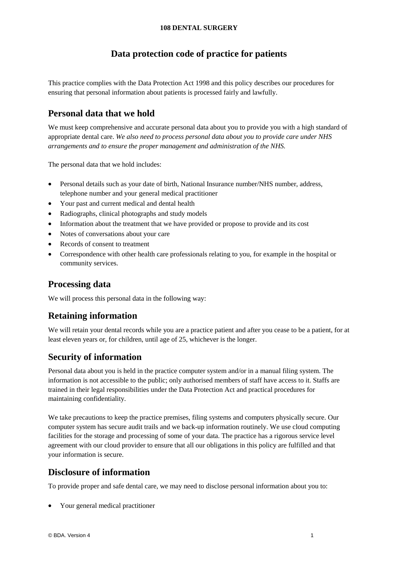#### **108 DENTAL SURGERY**

# **Data protection code of practice for patients**

This practice complies with the Data Protection Act 1998 and this policy describes our procedures for ensuring that personal information about patients is processed fairly and lawfully.

# **Personal data that we hold**

We must keep comprehensive and accurate personal data about you to provide you with a high standard of appropriate dental care. *We also need to process personal data about you to provide care under NHS arrangements and to ensure the proper management and administration of the NHS.*

The personal data that we hold includes:

- Personal details such as your date of birth, National Insurance number/NHS number, address, telephone number and your general medical practitioner
- Your past and current medical and dental health
- Radiographs, clinical photographs and study models
- Information about the treatment that we have provided or propose to provide and its cost
- Notes of conversations about your care
- Records of consent to treatment
- Correspondence with other health care professionals relating to you, for example in the hospital or community services.

# **Processing data**

We will process this personal data in the following way:

### **Retaining information**

We will retain your dental records while you are a practice patient and after you cease to be a patient, for at least eleven years or, for children, until age of 25, whichever is the longer.

# **Security of information**

Personal data about you is held in the practice computer system and/or in a manual filing system. The information is not accessible to the public; only authorised members of staff have access to it. Staffs are trained in their legal responsibilities under the Data Protection Act and practical procedures for maintaining confidentiality.

We take precautions to keep the practice premises, filing systems and computers physically secure. Our computer system has secure audit trails and we back-up information routinely. We use cloud computing facilities for the storage and processing of some of your data. The practice has a rigorous service level agreement with our cloud provider to ensure that all our obligations in this policy are fulfilled and that your information is secure.

# **Disclosure of information**

To provide proper and safe dental care, we may need to disclose personal information about you to:

• Your general medical practitioner